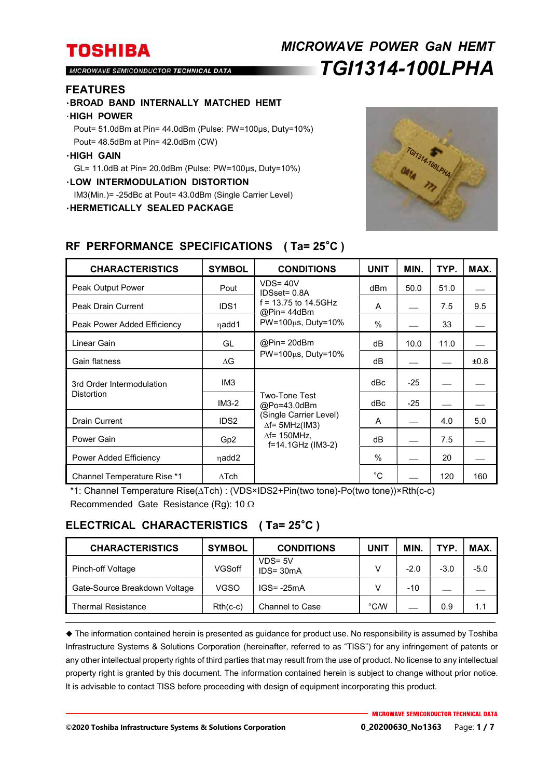### *MICROWAVE POWER GaN HEMT TGI1314-100LPHA*  **MICROWAVE SEMICONDUCTOR TECHNICAL DATA**

#### **FEATURES**

- ・**BROAD BAND INTERNALLY MATCHED HEMT** ・**HIGH POWER** 
	- Pout= 51.0dBm at Pin= 44.0dBm (Pulse: PW=100μs, Duty=10%) Pout= 48.5dBm at Pin= 42.0dBm (CW)

#### ・**HIGH GAIN**

GL= 11.0dB at Pin= 20.0dBm (Pulse: PW=100μs, Duty=10%)

### ・**LOW INTERMODULATION DISTORTION**

- IM3(Min.)= -25dBc at Pout= 43.0dBm (Single Carrier Level)
- ・**HERMETICALLY SEALED PACKAGE**



### **RF PERFORMANCE SPECIFICATIONS ( Ta= 25**°**C )**

| <b>CHARACTERISTICS</b>                         | <b>SYMBOL</b>    | <b>CONDITIONS</b>                                                                                                                    | <b>UNIT</b>   | MIN.  | TYP. | MAX. |
|------------------------------------------------|------------------|--------------------------------------------------------------------------------------------------------------------------------------|---------------|-------|------|------|
| <b>Peak Output Power</b>                       | Pout             | $VDS = 40V$<br>IDSset= 0.8A<br>$f = 13.75$ to 14.5GHz<br>@Pin= 44dBm<br>$PW=100\mu s$ , Duty=10%                                     | dBm           | 50.0  | 51.0 |      |
| Peak Drain Current                             | IDS <sub>1</sub> |                                                                                                                                      | A             |       | 7.5  | 9.5  |
| Peak Power Added Efficiency                    | nadd1            |                                                                                                                                      | $\%$          |       | 33   |      |
| Linear Gain                                    | GL               | @Pin= 20dBm<br>$PW=100\mu s$ , Duty=10%                                                                                              | dВ            | 10.0  | 11.0 |      |
| Gain flatness                                  | ΔG               |                                                                                                                                      | dВ            |       |      | ±0.8 |
| 3rd Order Intermodulation<br><b>Distortion</b> | IM <sub>3</sub>  | <b>Two-Tone Test</b><br>@Po=43.0dBm<br>(Single Carrier Level)<br>$\Delta f$ = 5MHz(IM3)<br>$\Delta f$ = 150MHz,<br>f=14.1GHz (IM3-2) | dBc           | $-25$ |      |      |
|                                                | $IM3-2$          |                                                                                                                                      | dBc           | $-25$ |      |      |
| <b>Drain Current</b>                           | IDS <sub>2</sub> |                                                                                                                                      | A             |       | 4.0  | 5.0  |
| Power Gain                                     | Gp <sub>2</sub>  |                                                                                                                                      | dB            |       | 7.5  |      |
| Power Added Efficiency                         | nadd2            |                                                                                                                                      | $\frac{0}{0}$ |       | 20   |      |
| <b>Channel Temperature Rise *1</b>             | $\Delta$ Tch     |                                                                                                                                      | $^{\circ}$ C  |       | 120  | 160  |

\*1: Channel Temperature Rise( $\Delta$ Tch) : (VDS×IDS2+Pin(two tone)-Po(two tone))×Rth(c-c) Recommended Gate Resistance (Rg): 10  $\Omega$ 

### **ELECTRICAL CHARACTERISTICS ( Ta= 25**°**C )**

| <b>CHARACTERISTICS</b>        | <b>SYMBOL</b> | <b>CONDITIONS</b>      | UNIT | <b>MIN</b> | TYP.   | MAX.   |
|-------------------------------|---------------|------------------------|------|------------|--------|--------|
| Pinch-off Voltage             | VGSoff        | $VDS = 5V$<br>IDS=30mA |      | $-2.0$     | $-3.0$ | $-5.0$ |
| Gate-Source Breakdown Voltage | VGSO          | $IGS = -25mA$          | v    | $-10$      |        |        |
| Thermal Resistance            | $Rth(c-c)$    | <b>Channel to Case</b> | °C/W |            | 0.9    | 1.1    |

 The information contained herein is presented as guidance for product use. No responsibility is assumed by Toshiba Infrastructure Systems & Solutions Corporation (hereinafter, referred to as "TISS") for any infringement of patents or any other intellectual property rights of third parties that may result from the use of product. No license to any intellectual property right is granted by this document. The information contained herein is subject to change without prior notice. It is advisable to contact TISS before proceeding with design of equipment incorporating this product.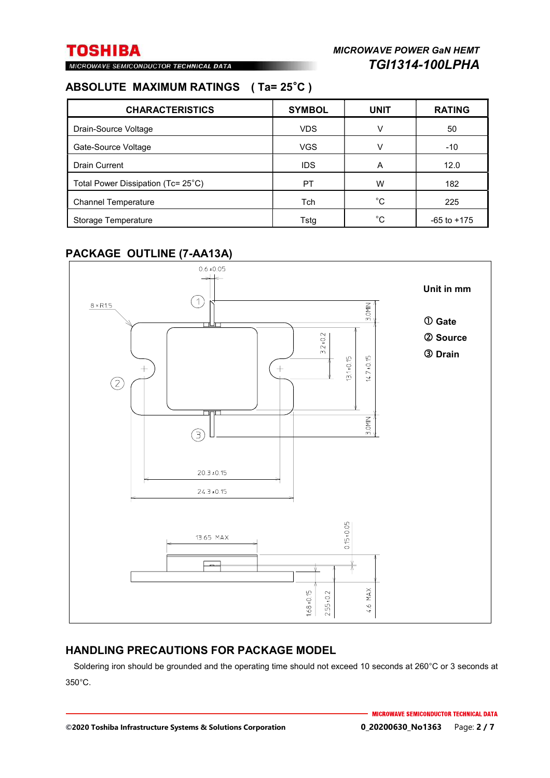### **ABSOLUTE MAXIMUM RATINGS ( Ta= 25**°**C )**

| <b>CHARACTERISTICS</b>             | <b>SYMBOL</b> | UNIT | <b>RATING</b>   |
|------------------------------------|---------------|------|-----------------|
| Drain-Source Voltage               | <b>VDS</b>    | v    | 50              |
| Gate-Source Voltage                | <b>VGS</b>    | v    | $-10$           |
| <b>Drain Current</b>               | <b>IDS</b>    | A    | 12.0            |
| Total Power Dissipation (Tc= 25°C) | PT            | w    | 182             |
| <b>Channel Temperature</b>         | Tch           | °C   | 225             |
| Storage Temperature                | Tstg          | °C.  | $-65$ to $+175$ |

### **PACKAGE OUTLINE (7-AA13A)**



### **HANDLING PRECAUTIONS FOR PACKAGE MODEL**

Soldering iron should be grounded and the operating time should not exceed 10 seconds at 260°C or 3 seconds at 350°C.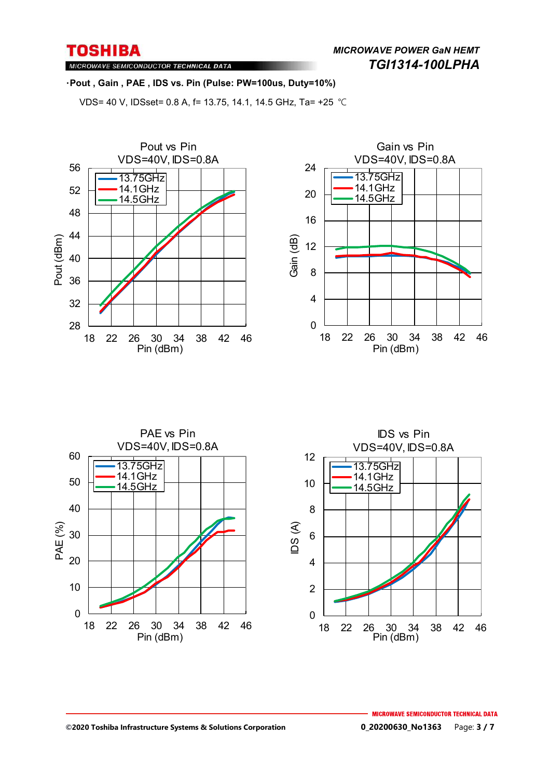MICROWAVE SEMICONDUCTOR TECHNICAL DATA

#### ・**Pout , Gain , PAE , IDS vs. Pin (Pulse: PW=100us, Duty=10%)**

VDS= 40 V, IDSset= 0.8 A, f= 13.75, 14.1, 14.5 GHz, Ta= +25 ℃





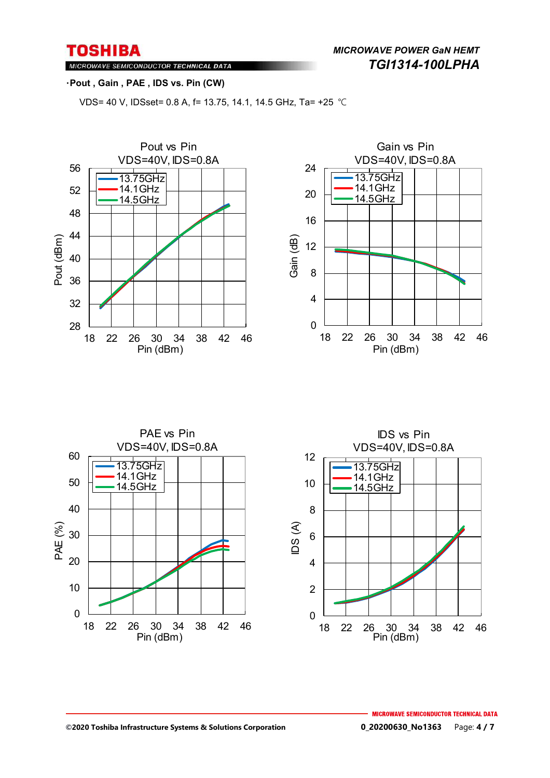*MICROWAVE POWER GaN HEMT TGI1314-100LPHA* 

## MICROWAVE SEMICONDUCTOR TECHNICAL DATA

・**Pout , Gain , PAE , IDS vs. Pin (CW)**

VDS= 40 V, IDSset= 0.8 A, f= 13.75, 14.1, 14.5 GHz, Ta= +25 ℃







#### **©2020 Toshiba Infrastructure Systems & Solutions Corporation 0\_20200630\_No1363** Page: **4 / 7**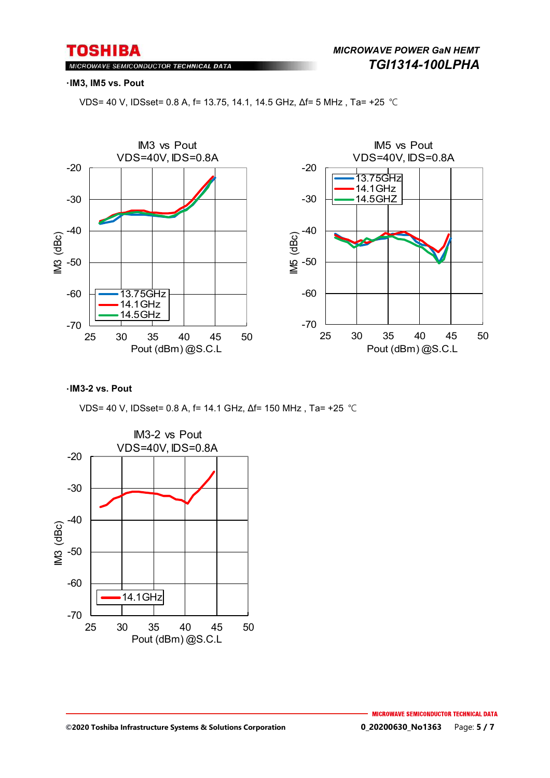*MICROWAVE POWER GaN HEMT TGI1314-100LPHA* 

### MICROWAVE SEMICONDUCTOR TECHNICAL DATA

#### ・**IM3, IM5 vs. Pout**

VDS= 40 V, IDSset= 0.8 A, f= 13.75, 14.1, 14.5 GHz, Δf= 5 MHz , Ta= +25 ℃



#### ・**IM3-2 vs. Pout**

VDS= 40 V, IDSset= 0.8 A, f= 14.1 GHz, Δf= 150 MHz , Ta= +25 ℃

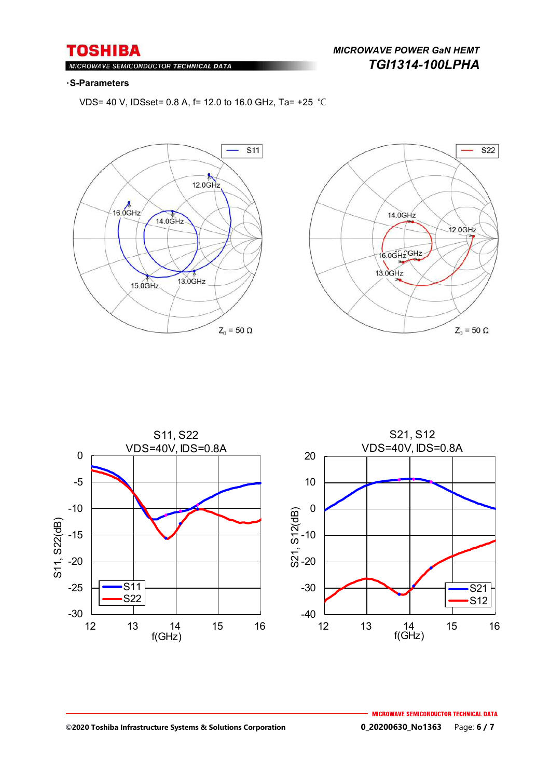$M$ ROWAVE SEMICONDUCTOR TECHNICAL DATA

### *MICROWAVE POWER GaN HEMT TGI1314-100LPHA*

#### ・**S-Parameters**

VDS= 40 V, IDSset= 0.8 A, f= 12.0 to 16.0 GHz, Ta= +25 ℃